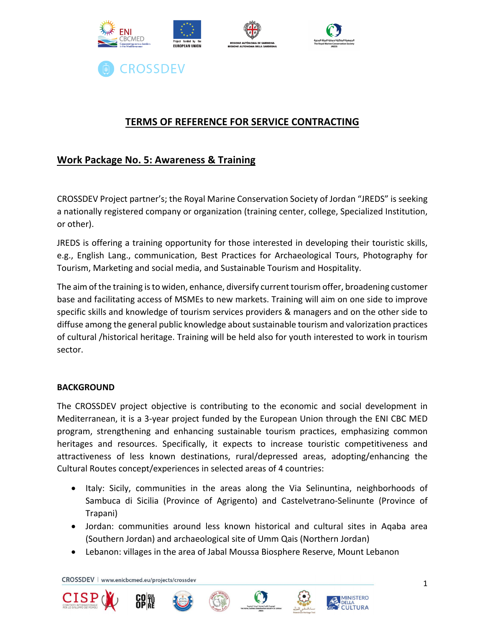

# **TERMS OF REFERENCE FOR SERVICE CONTRACTING**

# **Work Package No. 5: Awareness & Training**

CROSSDEV Project partner's; the Royal Marine Conservation Society of Jordan "JREDS" is seeking a nationally registered company or organization (training center, college, Specialized Institution, or other).

JREDS is offering a training opportunity for those interested in developing their touristic skills, e.g., English Lang., communication, Best Practices for Archaeological Tours, Photography for Tourism, Marketing and social media, and Sustainable Tourism and Hospitality.

The aim of the training is to widen, enhance, diversify current tourism offer, broadening customer base and facilitating access of MSMEs to new markets. Training will aim on one side to improve specific skills and knowledge of tourism services providers & managers and on the other side to diffuse among the general public knowledge about sustainable tourism and valorization practices of cultural /historical heritage. Training will be held also for youth interested to work in tourism sector.

## **BACKGROUND**

The CROSSDEV project objective is contributing to the economic and social development in Mediterranean, it is a 3-year project funded by the European Union through the ENI CBC MED program, strengthening and enhancing sustainable tourism practices, emphasizing common heritages and resources. Specifically, it expects to increase touristic competitiveness and attractiveness of less known destinations, rural/depressed areas, adopting/enhancing the Cultural Routes concept/experiences in selected areas of 4 countries:

- Italy: Sicily, communities in the areas along the Via Selinuntina, neighborhoods of Sambuca di Sicilia (Province of Agrigento) and Castelvetrano-Selinunte (Province of Trapani)
- Jordan: communities around less known historical and cultural sites in Aqaba area (Southern Jordan) and archaeological site of Umm Qais (Northern Jordan)
- Lebanon: villages in the area of Jabal Moussa Biosphere Reserve, Mount Lebanon











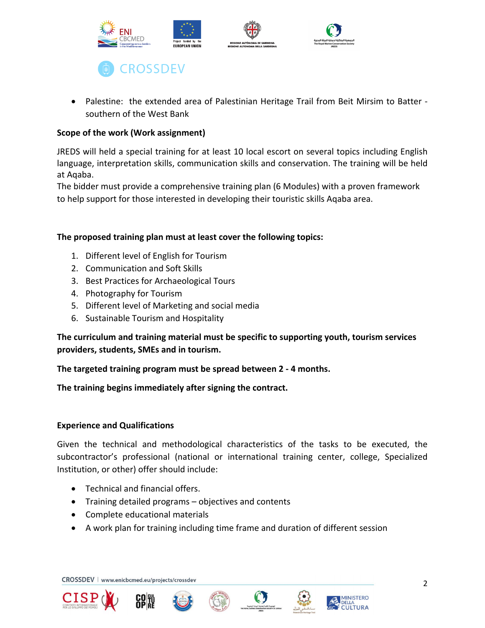

• Palestine: the extended area of Palestinian Heritage Trail from Beit Mirsim to Batter southern of the West Bank

## **Scope of the work (Work assignment)**

JREDS will held a special training for at least 10 local escort on several topics including English language, interpretation skills, communication skills and conservation. The training will be held at Aqaba.

The bidder must provide a comprehensive training plan (6 Modules) with a proven framework to help support for those interested in developing their touristic skills Aqaba area.

## **The proposed training plan must at least cover the following topics:**

- 1. Different level of English for Tourism
- 2. Communication and Soft Skills
- 3. Best Practices for Archaeological Tours
- 4. Photography for Tourism
- 5. Different level of Marketing and social media
- 6. Sustainable Tourism and Hospitality

**The curriculum and training material must be specific to supporting youth, tourism services providers, students, SMEs and in tourism.**

**The targeted training program must be spread between 2 - 4 months.**

**The training begins immediately after signing the contract.**

## **Experience and Qualifications**

Given the technical and methodological characteristics of the tasks to be executed, the subcontractor's professional (national or international training center, college, Specialized Institution, or other) offer should include:

- Technical and financial offers.
- Training detailed programs objectives and contents
- Complete educational materials
- A work plan for training including time frame and duration of different session











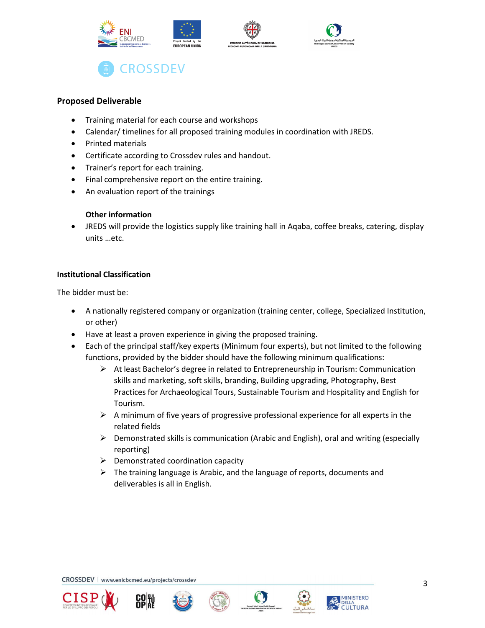

### **Proposed Deliverable**

- Training material for each course and workshops
- Calendar/ timelines for all proposed training modules in coordination with JREDS.
- Printed materials
- Certificate according to Crossdev rules and handout.
- Trainer's report for each training.
- Final comprehensive report on the entire training.
- An evaluation report of the trainings

#### **Other information**

• JREDS will provide the logistics supply like training hall in Aqaba, coffee breaks, catering, display units …etc.

#### **Institutional Classification**

The bidder must be:

- A nationally registered company or organization (training center, college, Specialized Institution, or other)
- Have at least a proven experience in giving the proposed training.
- Each of the principal staff/key experts (Minimum four experts), but not limited to the following functions, provided by the bidder should have the following minimum qualifications:
	- $\triangleright$  At least Bachelor's degree in related to Entrepreneurship in Tourism: Communication skills and marketing, soft skills, branding, Building upgrading, Photography, Best Practices for Archaeological Tours, Sustainable Tourism and Hospitality and English for Tourism.
	- $\triangleright$  A minimum of five years of progressive professional experience for all experts in the related fields
	- $\triangleright$  Demonstrated skills is communication (Arabic and English), oral and writing (especially reporting)
	- $\triangleright$  Demonstrated coordination capacity
	- $\triangleright$  The training language is Arabic, and the language of reports, documents and deliverables is all in English.









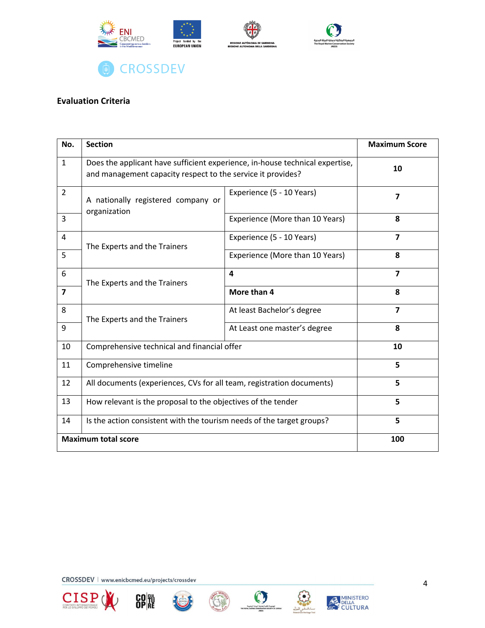

# **Evaluation Criteria**

| No.            | <b>Section</b>                                                                                                                              |                                 | <b>Maximum Score</b> |
|----------------|---------------------------------------------------------------------------------------------------------------------------------------------|---------------------------------|----------------------|
| $\mathbf{1}$   | Does the applicant have sufficient experience, in-house technical expertise,<br>and management capacity respect to the service it provides? |                                 | 10                   |
| $\overline{2}$ | A nationally registered company or<br>organization                                                                                          | Experience (5 - 10 Years)       | $\overline{7}$       |
| 3              |                                                                                                                                             | Experience (More than 10 Years) | 8                    |
| 4              | The Experts and the Trainers                                                                                                                | Experience (5 - 10 Years)       | $\overline{7}$       |
| 5              |                                                                                                                                             | Experience (More than 10 Years) | 8                    |
| 6              | The Experts and the Trainers                                                                                                                | 4                               | $\overline{7}$       |
| $\overline{7}$ |                                                                                                                                             | More than 4                     | 8                    |
| 8              | The Experts and the Trainers                                                                                                                | At least Bachelor's degree      | $\overline{7}$       |
| 9              |                                                                                                                                             | At Least one master's degree    | 8                    |
| 10             | Comprehensive technical and financial offer                                                                                                 |                                 | 10                   |
| 11             | Comprehensive timeline                                                                                                                      |                                 | 5                    |
| 12             | All documents (experiences, CVs for all team, registration documents)                                                                       |                                 | 5                    |
| 13             | How relevant is the proposal to the objectives of the tender                                                                                |                                 | 5                    |
| 14             | Is the action consistent with the tourism needs of the target groups?                                                                       |                                 | 5                    |
|                | <b>Maximum total score</b>                                                                                                                  | 100                             |                      |